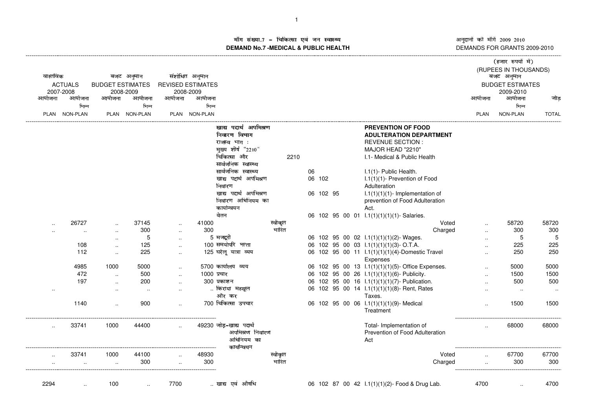ाँग संख्या.7 - चिकित्सा एवं जन स्वास्थ्य<br>IAND No.7 MEDICAL & DIIBLIC HEALTH **DEMAND No.7 -MEDICAL & PUBLIC HEALTH**

----------------------------------------------------------------------------------------------------------------------------------------------------------------------------------------------------------------------------------------------------------------------------

अनुदानों की माँगें 2009–2010<br>DEMANDS FOR GRANTS 2009-2010 -------------------

|                             | वास्तविक  |                      |                                      | बजट अनुमान    |                                       | संशोधित अनुमान |                        |         |    |           |  |                                                   |                                      | (हजार रुपयों में)<br>(RUPEES IN THOUSANDS)<br>बजट अनुमान |              |
|-----------------------------|-----------|----------------------|--------------------------------------|---------------|---------------------------------------|----------------|------------------------|---------|----|-----------|--|---------------------------------------------------|--------------------------------------|----------------------------------------------------------|--------------|
| <b>ACTUALS</b><br>2007-2008 |           |                      | <b>BUDGET ESTIMATES</b><br>2008-2009 |               | <b>REVISED ESTIMATES</b><br>2008-2009 |                |                        |         |    |           |  |                                                   | <b>BUDGET ESTIMATES</b><br>2009-2010 |                                                          |              |
|                             | आयोजना    | आयोजना               | आयोजना                               | आयोजना        | आयोजना                                | आयोजना         |                        |         |    |           |  |                                                   | आयोजना                               | आयोजना                                                   | जोड          |
|                             |           | भिन्न                |                                      | भिन्न         |                                       | भिन्न          |                        |         |    |           |  |                                                   |                                      | भिन्न                                                    |              |
|                             |           | PLAN NON-PLAN        |                                      | PLAN NON-PLAN |                                       | PLAN NON-PLAN  |                        |         |    |           |  |                                                   | <b>PLAN</b>                          | NON-PLAN                                                 | <b>TOTAL</b> |
|                             |           |                      |                                      |               |                                       |                | खाद्य पदार्थ अपमिश्रण  |         |    |           |  | PREVENTION OF FOOD                                |                                      |                                                          |              |
|                             |           |                      |                                      |               |                                       |                | निवारण विभाग           |         |    |           |  | <b>ADULTERATION DEPARTMENT</b>                    |                                      |                                                          |              |
|                             |           |                      |                                      |               |                                       |                | राजस्व भाग:            |         |    |           |  | <b>REVENUE SECTION:</b>                           |                                      |                                                          |              |
|                             |           |                      |                                      |               |                                       |                | मुख्य शीर्ष "2210"     |         |    |           |  | MAJOR HEAD "2210"                                 |                                      |                                                          |              |
|                             |           |                      |                                      |               |                                       |                | चिकित्सा और            | 2210    |    |           |  | I.1- Medical & Public Health                      |                                      |                                                          |              |
|                             |           |                      |                                      |               |                                       |                | सार्वजनिक स्वास्थ्य    |         |    |           |  |                                                   |                                      |                                                          |              |
|                             |           |                      |                                      |               |                                       |                | सार्वजनिक स्वास्थ्य    |         | 06 |           |  | I.1(1)- Public Health.                            |                                      |                                                          |              |
|                             |           |                      |                                      |               |                                       |                | खाद्य पदार्थ अपमिश्रण  |         |    | 06 102    |  | I.1(1)(1)- Prevention of Food                     |                                      |                                                          |              |
|                             |           |                      |                                      |               |                                       |                | निवारण                 |         |    |           |  | Adulteration                                      |                                      |                                                          |              |
|                             |           |                      |                                      |               |                                       |                | खाद्य पदार्थ अपमिश्रण  |         |    | 06 102 95 |  | $1.1(1)(1)(1)$ - Implementation of                |                                      |                                                          |              |
|                             |           |                      |                                      |               |                                       |                | निवारण अधिनियम का      |         |    |           |  | prevention of Food Adulteration                   |                                      |                                                          |              |
|                             |           |                      |                                      |               |                                       |                | कार्यान्वयन            |         |    |           |  | Act.                                              |                                      |                                                          |              |
|                             |           |                      |                                      |               |                                       |                | वेतन                   |         |    |           |  | 06 102 95 00 01 l.1(1)(1)(1)(1)- Salaries.        |                                      |                                                          |              |
|                             | $\ddotsc$ | 26727                | $\sim$                               | 37145         | $\ddotsc$                             | 41000          |                        | स्वीकृत |    |           |  | Voted                                             |                                      | 58720                                                    | 58720        |
|                             |           | $\ddot{\phantom{a}}$ | $\ddotsc$                            | 300           | $\cdot$ .                             | 300            |                        | भारित   |    |           |  | Charged                                           | $\ddot{\phantom{a}}$                 | 300                                                      | 300          |
|                             |           |                      | $\ddot{\phantom{a}}$                 | 5             | $\ddot{\phantom{a}}$                  |                | 5 मजदूरी               |         |    |           |  | 06 102 95 00 02 $1.1(1)(1)(2)$ - Wages.           |                                      | 5                                                        | 5            |
|                             |           | 108                  | $\ddot{\phantom{a}}$                 | 125           | $\ddot{\phantom{a}}$                  |                | 100 समयोपरि भत्ता      |         |    |           |  | 06 102 95 00 03 1.1(1)(1)(1)(3)- O.T.A.           |                                      | 225                                                      | 225          |
|                             |           | 112                  | $\ddot{\phantom{a}}$                 | 225           | $\cdot$ .                             |                | 125 घरेलू यात्रा व्यय  |         |    |           |  | 06 102 95 00 11 l.1(1)(1)(1)(4)-Domestic Travel   |                                      | 250                                                      | 250          |
|                             |           |                      |                                      |               |                                       |                |                        |         |    |           |  | Expenses                                          |                                      |                                                          |              |
|                             |           | 4985                 | 1000                                 | 5000          | $\ddot{\phantom{a}}$                  |                | 5700 कार्यालय व्यय     |         |    |           |  | 06 102 95 00 13 l.1(1)(1)(1)(5)- Office Expenses. |                                      | 5000                                                     | 5000         |
|                             |           | 472                  | $\sim$                               | 500           | $\ddot{\phantom{a}}$                  | 1000 प्रचार    |                        |         |    |           |  | 06 102 95 00 26 1.1(1)(1)(1)(6)- Publicity.       |                                      | 1500                                                     | 1500         |
|                             |           | 197                  | $\sim$                               | 200           | $\ddotsc$                             |                | 300 प्रकाशन            |         |    |           |  | 06 102 95 00 16 l.1(1)(1)(1)(7)- Publication.     |                                      | 500                                                      | 500          |
|                             |           |                      | $\ddot{\phantom{a}}$                 |               |                                       |                | किराया महसूल           |         |    |           |  | 06 102 95 00 14 l.1(1)(1)(1)(8)- Rent, Rates      |                                      |                                                          | $\ddotsc$    |
|                             |           |                      |                                      |               |                                       |                | और कर                  |         |    |           |  | Taxes.                                            |                                      |                                                          |              |
|                             |           | 1140                 | $\sim$                               | 900           | $\ddotsc$                             |                | 700 चिकित्सा उपचार     |         |    |           |  | 06 102 95 00 06 1.1(1)(1)(1)(9)- Medical          |                                      | 1500                                                     | 1500         |
|                             |           |                      |                                      |               |                                       |                |                        |         |    |           |  | Treatment                                         |                                      |                                                          |              |
|                             |           |                      |                                      |               |                                       |                |                        |         |    |           |  |                                                   |                                      |                                                          |              |
|                             | $\cdot$ . | 33741                | 1000                                 | 44400         | $\ddot{\phantom{a}}$                  |                | 49230 जोड-खाद्य पदार्थ |         |    |           |  | Total- Implementation of                          |                                      | 68000                                                    | 68000        |
|                             |           |                      |                                      |               |                                       |                | अपमिश्रण निवारण        |         |    |           |  | Prevention of Food Adulteration                   |                                      |                                                          |              |
|                             |           |                      |                                      |               |                                       |                | अधिनियम का             |         |    |           |  | Act                                               |                                      |                                                          |              |
|                             |           |                      |                                      |               |                                       |                | कार्यान्वयन            |         |    |           |  |                                                   |                                      |                                                          |              |
|                             | $\cdot$ . | 33741                | 1000                                 | 44100         | $\ddot{\phantom{a}}$                  | 48930          |                        | स्वीकृत |    |           |  | Voted                                             |                                      | 67700                                                    | 67700        |
|                             |           | $\cdot$ .            | $\sim$                               | 300           |                                       | 300            |                        | भारित   |    |           |  | Charged                                           | $\sim$                               | 300                                                      | 300          |
|                             |           |                      |                                      |               |                                       |                |                        |         |    |           |  |                                                   |                                      |                                                          |              |
|                             |           |                      |                                      |               |                                       |                |                        |         |    |           |  |                                                   |                                      |                                                          |              |
|                             | 2294      | $\ddot{\phantom{a}}$ | 100                                  | $\ddotsc$     | 7700                                  |                | खाद्य एवं औषधि         |         |    |           |  | 06 102 87 00 42 l.1(1)(1)(2)- Food & Drug Lab.    | 4700                                 | $\ddotsc$                                                | 4700         |